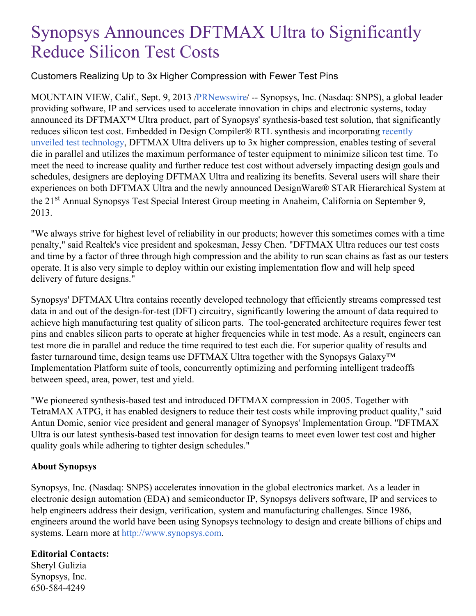# Synopsys Announces DFTMAX Ultra to Significantly Reduce Silicon Test Costs

### Customers Realizing Up to 3x Higher Compression with Fewer Test Pins

MOUNTAIN VIEW, Calif., Sept. 9, 2013 [/PRNewswire](http://www.prnewswire.com/)/ -- Synopsys, Inc. (Nasdaq: SNPS), a global leader providing software, IP and services used to accelerate innovation in chips and electronic systems, today announced its DFTMAX™ Ultra product, part of Synopsys' synthesis-based test solution, that significantly reduces silicon test cost. Embedded in Design Compiler® RTL synthesis and [incorporating](http://news.synopsys.com/index.php?s=43&item=1132) recently unveiled test technology, DFTMAX Ultra delivers up to 3x higher compression, enables testing of several die in parallel and utilizes the maximum performance of tester equipment to minimize silicon test time. To meet the need to increase quality and further reduce test cost without adversely impacting design goals and schedules, designers are deploying DFTMAX Ultra and realizing its benefits. Several users will share their experiences on both DFTMAX Ultra and the newly announced DesignWare® STAR Hierarchical System at the 21<sup>st</sup> Annual Synopsys Test Special Interest Group meeting in Anaheim, California on September 9, 2013.

"We always strive for highest level of reliability in our products; however this sometimes comes with a time penalty," said Realtek's vice president and spokesman, Jessy Chen. "DFTMAX Ultra reduces our test costs and time by a factor of three through high compression and the ability to run scan chains as fast as our testers operate. It is also very simple to deploy within our existing implementation flow and will help speed delivery of future designs."

Synopsys' DFTMAX Ultra contains recently developed technology that efficiently streams compressed test data in and out of the design-for-test (DFT) circuitry, significantly lowering the amount of data required to achieve high manufacturing test quality of silicon parts. The tool-generated architecture requires fewer test pins and enables silicon parts to operate at higher frequencies while in test mode. As a result, engineers can test more die in parallel and reduce the time required to test each die. For superior quality of results and faster turnaround time, design teams use DFTMAX Ultra together with the Synopsys Galaxy™ Implementation Platform suite of tools, concurrently optimizing and performing intelligent tradeoffs between speed, area, power, test and yield.

"We pioneered synthesis-based test and introduced DFTMAX compression in 2005. Together with TetraMAX ATPG, it has enabled designers to reduce their test costs while improving product quality," said Antun Domic, senior vice president and general manager of Synopsys' Implementation Group. "DFTMAX Ultra is our latest synthesis-based test innovation for design teams to meet even lower test cost and higher quality goals while adhering to tighter design schedules."

#### **About Synopsys**

Synopsys, Inc. (Nasdaq: SNPS) accelerates innovation in the global electronics market. As a leader in electronic design automation (EDA) and semiconductor IP, Synopsys delivers software, IP and services to help engineers address their design, verification, system and manufacturing challenges. Since 1986, engineers around the world have been using Synopsys technology to design and create billions of chips and systems. Learn more at [http://www.synopsys.com](http://www.synopsys.com/).

## **Editorial Contacts:**

Sheryl Gulizia Synopsys, Inc. 650-584-4249